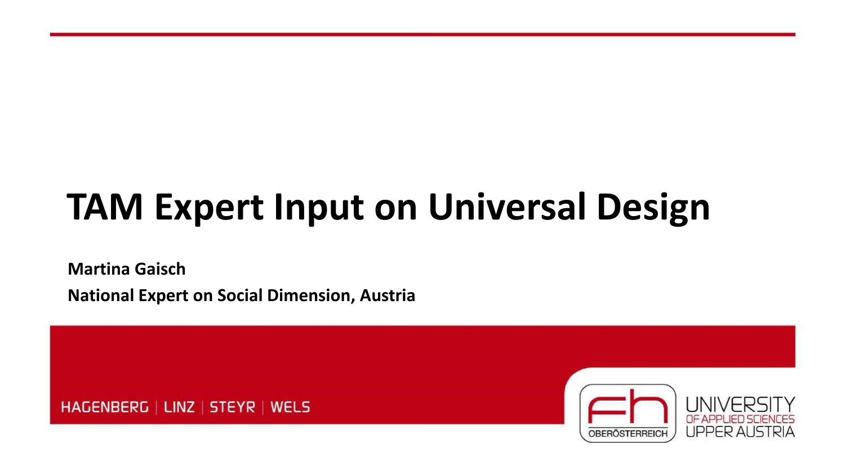# **TAM Expert Input on Universal Design**

**Martina Gaisch National Expert on Social Dimension, Austria**

HAGENBERG | LINZ | STEYR | WELS

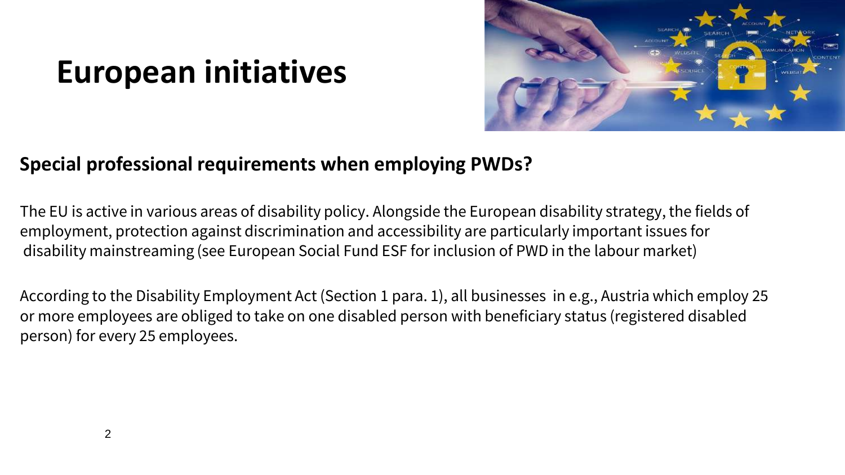### **European initiatives**



### **Special professional requirements when employing PWDs?**

The EU is active in various areas of disability policy. Alongside the European disability strategy, the fields of employment, protection against discrimination and accessibility are particularly important issues for disability mainstreaming (see European Social Fund ESF for inclusion of PWD in the labour market)

According to the Disability Employment Act (Section 1 para. 1), all businesses in e.g., Austria which employ 25 or more employees are obliged to take on one disabled person with beneficiary status (registered disabled person) for every 25 employees.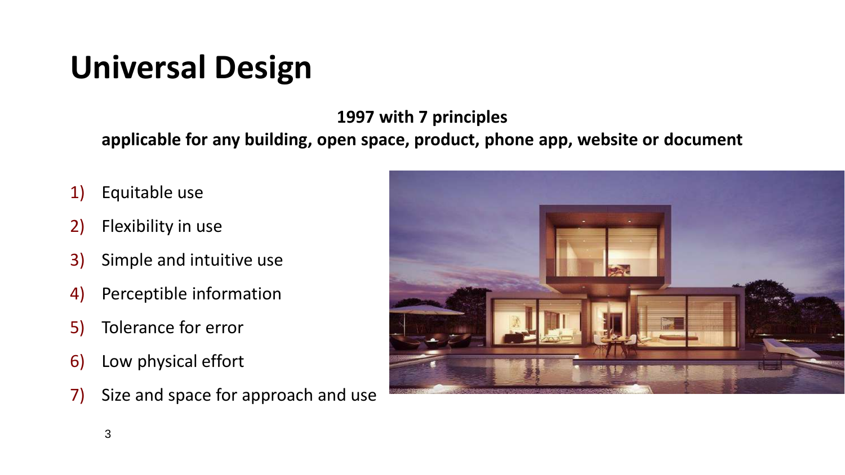## **Universal Design**

**1997 with 7 principles**

**applicable for any building, open space, product, phone app, website or document**

- 1) Equitable use
- 2) Flexibility in use
- 3) Simple and intuitive use
- 4) Perceptible information
- 5) Tolerance for error
- 6) Low physical effort
- 7) Size and space for approach and use

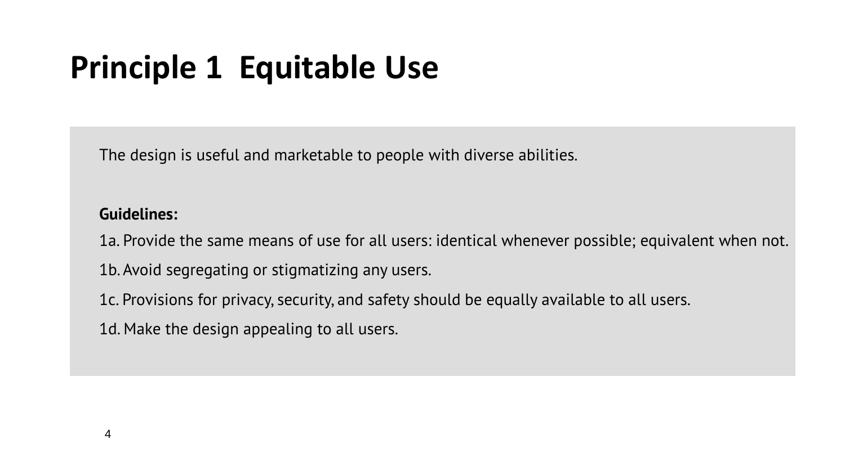## **Principle 1 Equitable Use**

The design is useful and marketable to people with diverse abilities.

#### **Guidelines:**

1a. Provide the same means of use for all users: identical whenever possible; equivalent when not.

1b. Avoid segregating or stigmatizing any users.

1c. Provisions for privacy, security, and safety should be equally available to all users.

1d. Make the design appealing to all users.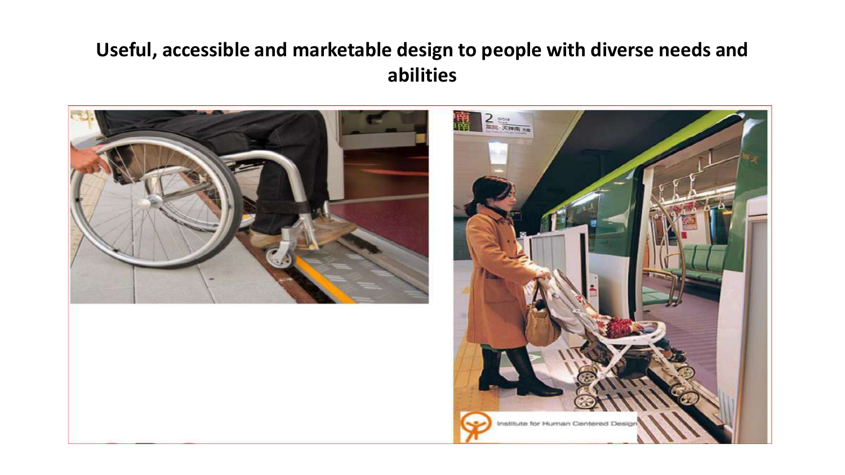### **Useful, accessible and marketable design to people with diverse needs and abilities**

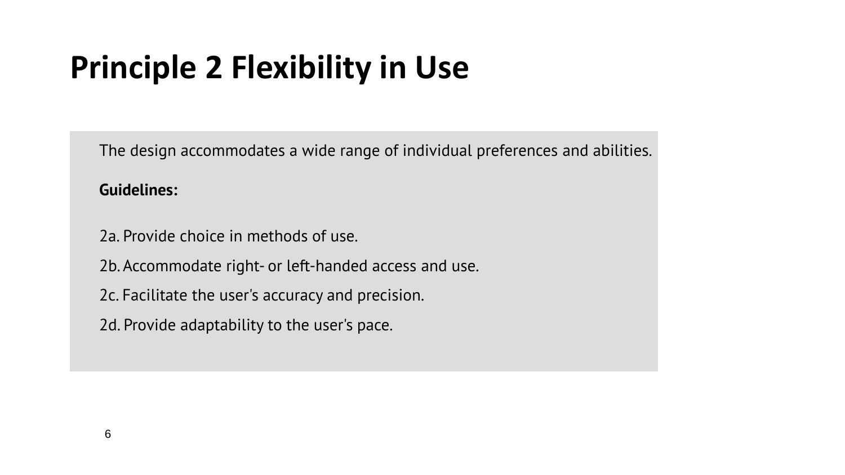## **Principle 2 Flexibility in Use**

The design accommodates a wide range of individual preferences and abilities.

#### **Guidelines:**

- 2a. Provide choice in methods of use.
- 2b. Accommodate right- or left-handed access and use.
- 2c. Facilitate the user's accuracy and precision.
- 2d. Provide adaptability to the user's pace.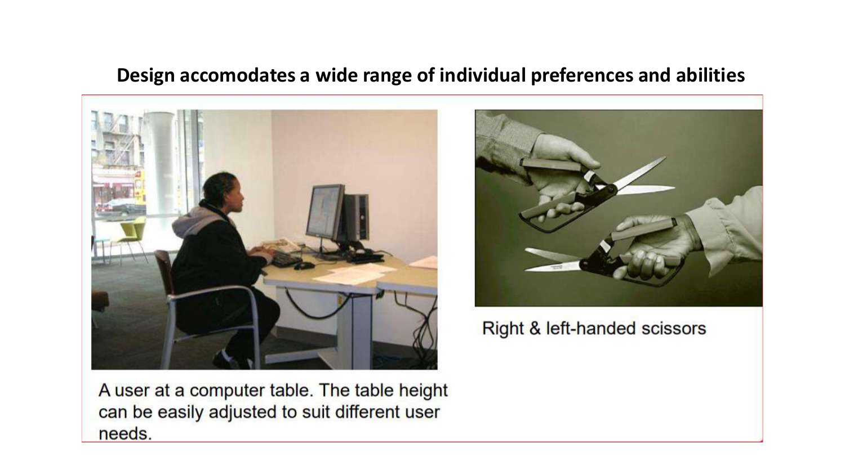#### **Design accomodates a wide range of individual preferences and abilities**





Right & left-handed scissors

A user at a computer table. The table height can be easily adjusted to suit different user needs.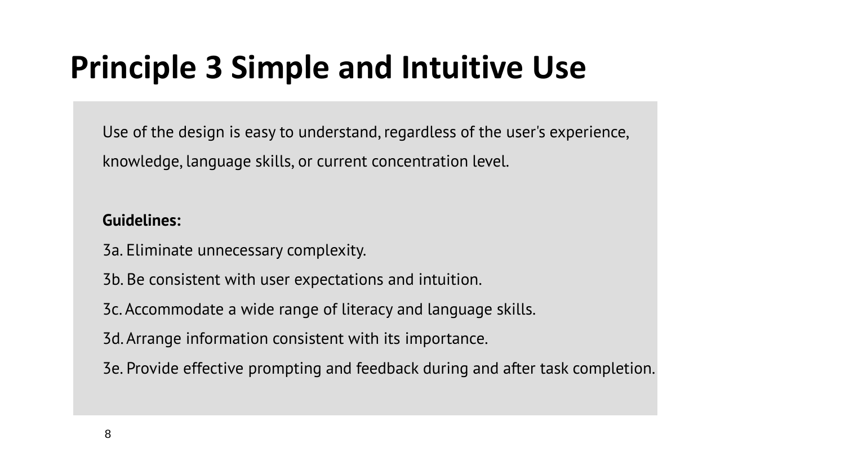## **Principle 3 Simple and Intuitive Use**

Use of the design is easy to understand, regardless of the user's experience, knowledge, language skills, or current concentration level.

#### **Guidelines:**

- 3a. Eliminate unnecessary complexity.
- 3b. Be consistent with user expectations and intuition.
- 3c. Accommodate a wide range of literacy and language skills.
- 3d. Arrange information consistent with its importance.
- 3e. Provide effective prompting and feedback during and after task completion.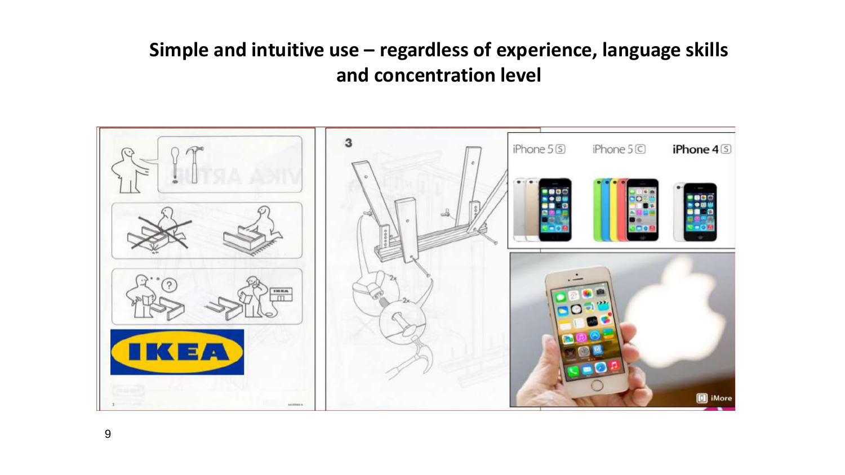### **Simple and intuitive use – regardless of experience, language skills and concentration level**

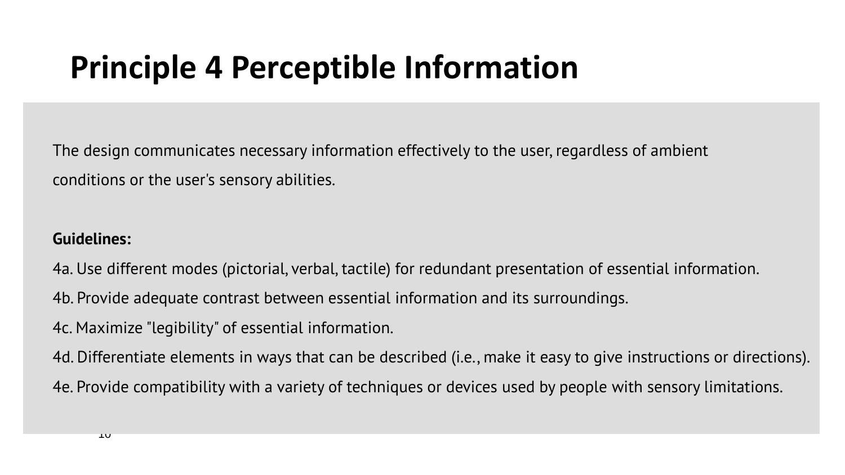### **Principle 4 Perceptible Information**

The design communicates necessary information effectively to the user, regardless of ambient conditions or the user's sensory abilities.

#### **Guidelines:**

4a. Use different modes (pictorial, verbal, tactile) for redundant presentation of essential information.

4b. Provide adequate contrast between essential information and its surroundings.

4c. Maximize "legibility" of essential information.

4d. Differentiate elements in ways that can be described (i.e., make it easy to give instructions or directions). 4e. Provide compatibility with a variety of techniques or devices used by people with sensory limitations.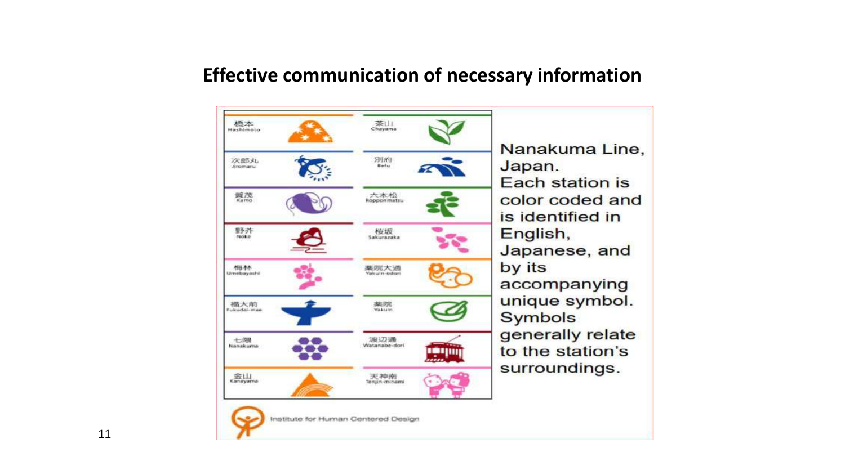#### **Effective communication of necessary information**

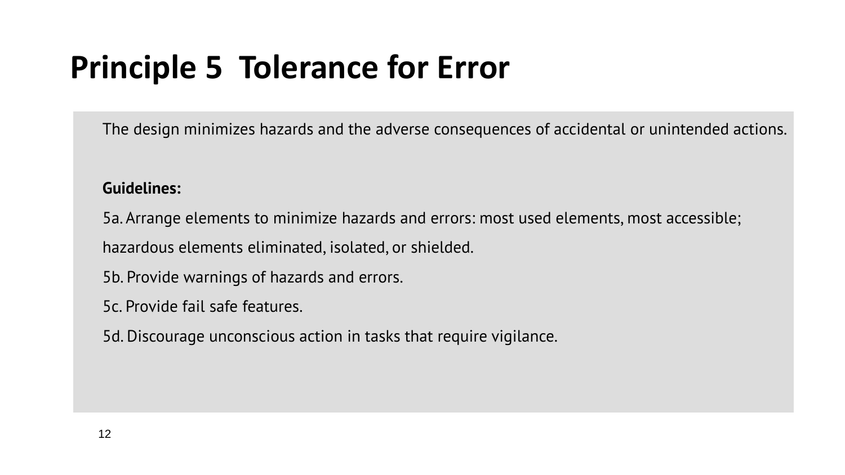## **Principle 5 Tolerance for Error**

The design minimizes hazards and the adverse consequences of accidental or unintended actions.

#### **Guidelines:**

5a. Arrange elements to minimize hazards and errors: most used elements, most accessible;

hazardous elements eliminated, isolated, or shielded.

5b. Provide warnings of hazards and errors.

5c. Provide fail safe features.

5d. Discourage unconscious action in tasks that require vigilance.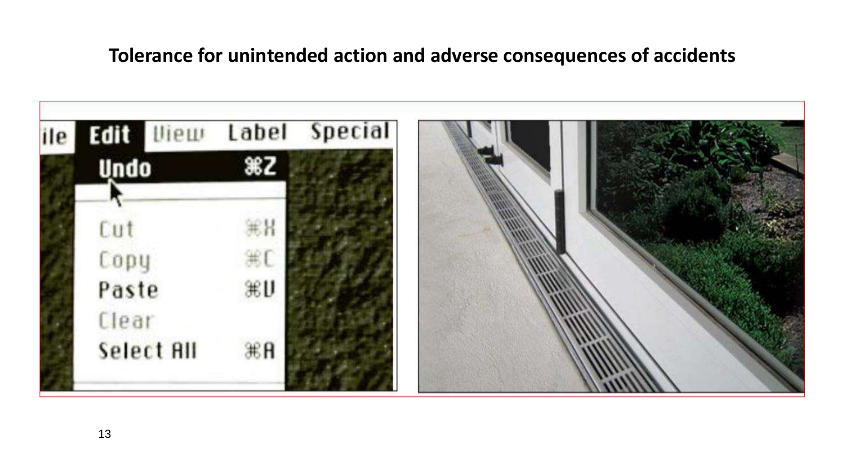### **Tolerance for unintended action and adverse consequences of accidents**

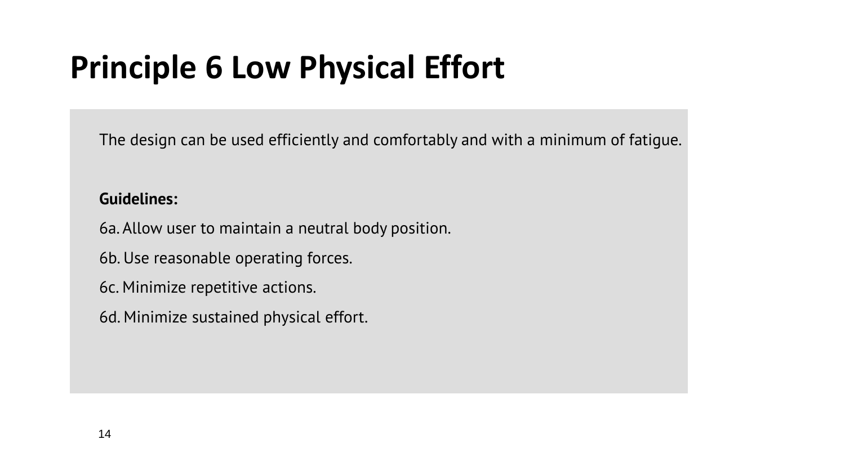## **Principle 6 Low Physical Effort**

The design can be used efficiently and comfortably and with a minimum of fatigue.

#### **Guidelines:**

6a. Allow user to maintain a neutral body position.

6b. Use reasonable operating forces.

6c. Minimize repetitive actions.

6d. Minimize sustained physical effort.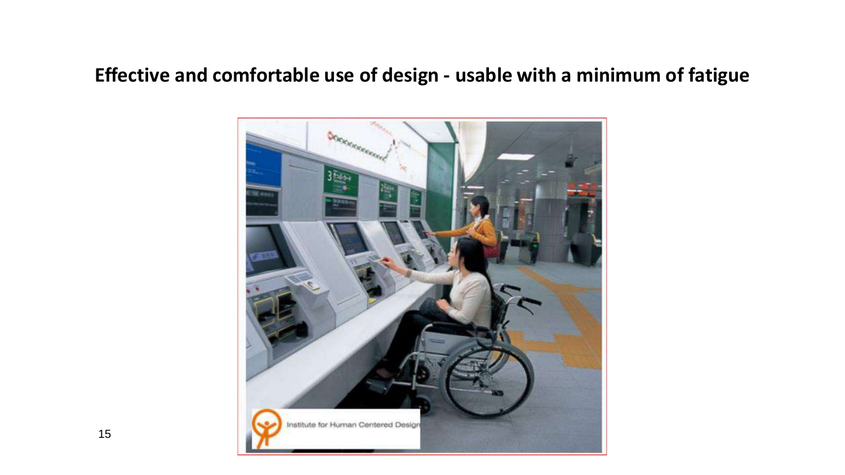### **Effective and comfortable use of design - usable with a minimum of fatigue**

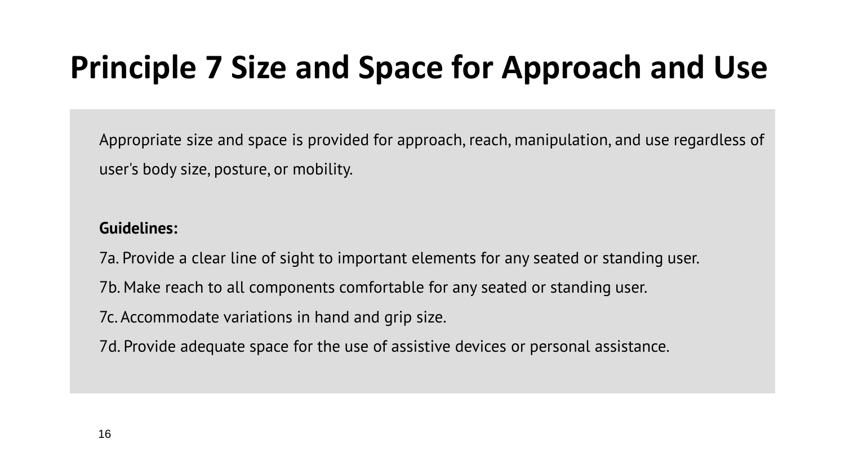## **Principle 7 Size and Space for Approach and Use**

Appropriate size and space is provided for approach, reach, manipulation, and use regardless of user's body size, posture, or mobility.

#### **Guidelines:**

7a. Provide a clear line of sight to important elements for any seated or standing user.

7b. Make reach to all components comfortable for any seated or standing user.

7c. Accommodate variations in hand and grip size.

7d. Provide adequate space for the use of assistive devices or personal assistance.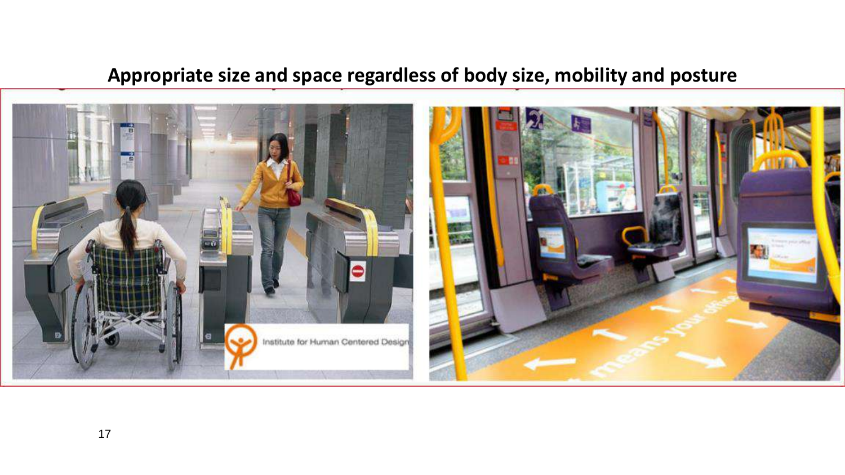### **Appropriate size and space regardless of body size, mobility and posture**

![](_page_16_Picture_1.jpeg)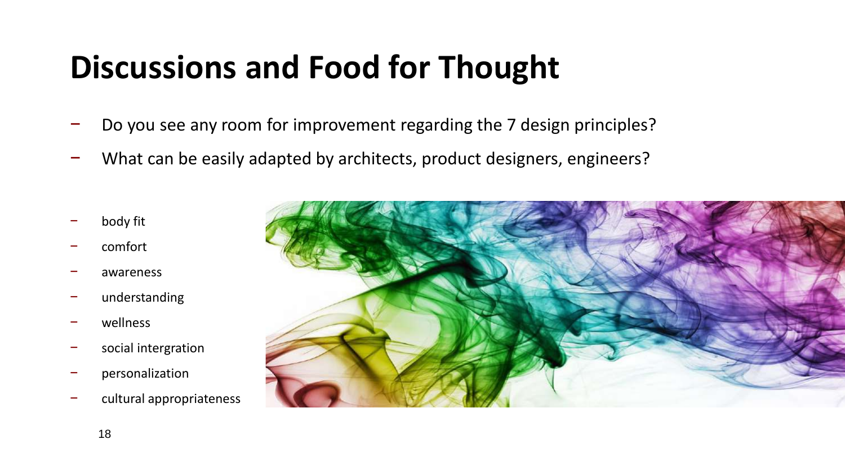## **Discussions and Food for Thought**

- Do you see any room for improvement regarding the 7 design principles?
- − What can be easily adapted by architects, product designers, engineers?
- − body fit
- − comfort
- − awareness
- − understanding
- − wellness
- social intergration
- − personalization
- − cultural appropriateness

![](_page_17_Picture_11.jpeg)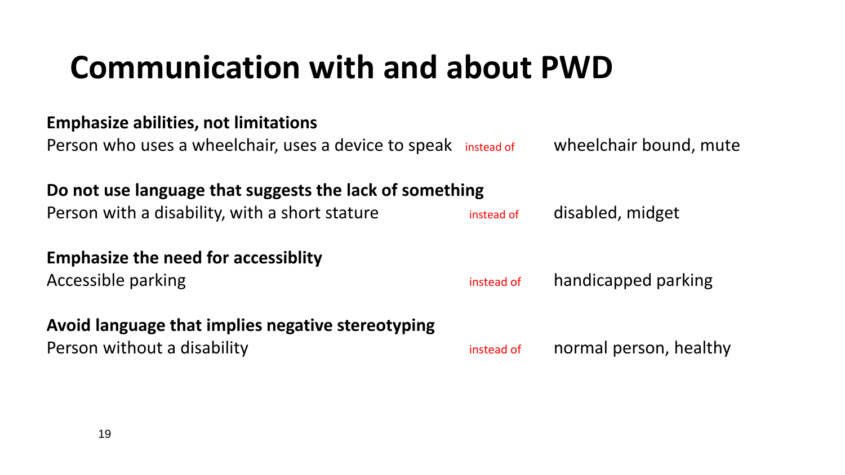### **Communication with and about PWD**

#### **Emphasize abilities, not limitations**

Person who uses a wheelchair, uses a device to speak instead of wheelchair bound, mute

**Do not use language that suggests the lack of something**

Person with a disability, with a short stature instead of disabled, midget

**Emphasize the need for accessiblity**

#### **Avoid language that implies negative stereotyping**

Accessible parking instead of handicapped parking

Person without a disability instead of normal person, healthy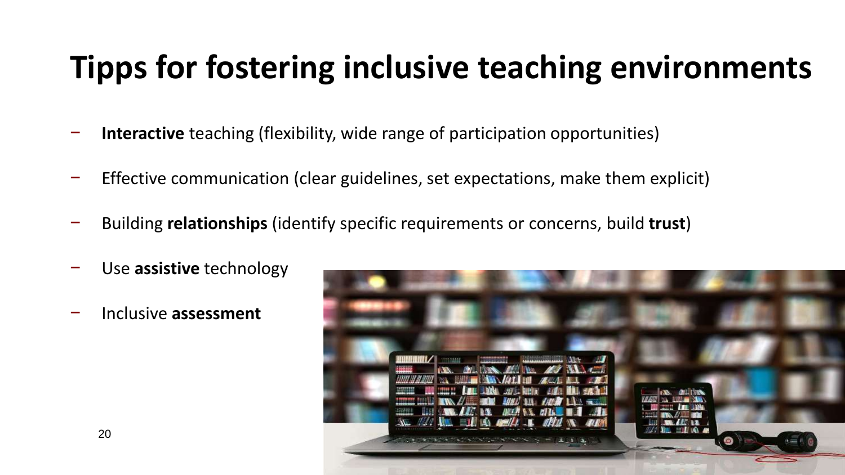## **Tipps for fostering inclusive teaching environments**

- **Interactive** teaching (flexibility, wide range of participation opportunities)
- − Effective communication (clear guidelines, set expectations, make them explicit)
- − Building **relationships** (identify specific requirements or concerns, build **trust**)
- − Use **assistive** technology
- − Inclusive **assessment**

![](_page_19_Picture_6.jpeg)